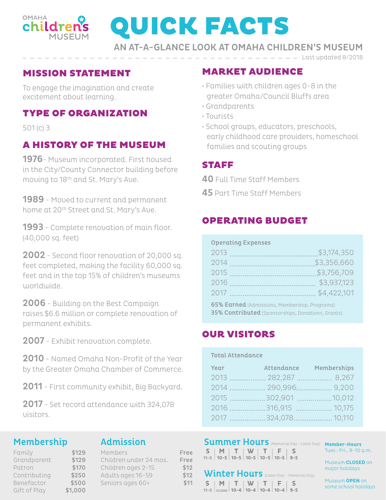

# QUICK FACTS

AN AT-A-GLANCE LOOK AT OMAHA CHILDREN'S MUSEUM

#### MISSION STATEMENT

To engage the imagination and create excitement about learning.

## TYPE OF ORGANIZATION

501 (c) 3

# A HISTORY OF THE MUSEUM

1976- Museum incorporated. First housed in the City/County Connector building before moving to 18<sup>th</sup> and St. Mary's Ave.

**1989** - Moved to current and permanent home at 20<sup>th</sup> Street and St. Mary's Ave.

1993 - Complete renovation of main floor. (40,000 sq. feet)

2002 - Second floor renovation of 20,000 sq. feet completed, making the facility 60,000 sq. feet and in the top 15% of children's museums worldwide.

2006 - Building on the Best Campaign raises \$6.6 million or complete renovation of permanent exhibits.

2007 - Exhibit renovation complete.

2010 - Named Omaha Non-Profit of the Year by the Greater Omaha Chamber of Commerce.

2011 - First community exhibit, Big Backyard.

2017 - Set record attendance with 324,078 visitors.

> $$129$  $$129$ \$170

#### Membership

#### Admission

| Family       | \$129   |
|--------------|---------|
| Grandparent  | \$129   |
| Patron       | \$170   |
| Contributing | \$250   |
| Benefactor   | \$500   |
| Gift of Play | \$1.000 |

| Members                |
|------------------------|
| Children under 24 mos. |
| Children ages 2-15     |
| Adults ages 16-59      |
| Seniors ages 60+       |

Free Free \$12 \$12 \$11

## MARKET AUDIENCE

- Families with children ages 0-8 in the greater Omaha/Council Bluffs area
- Grandparents
- Tourists
- School groups, educators, preschools, early childhood care providers, homeschool families and scouting groups

 $-$  Last updated 8/2018

# STAFF

40 Full Time Staff Members

45 Part Time Staff Members

# OPERATING BUDGET

#### Operating Expenses

| 2013<br>and the control of the control of the control of | \$3,174,350   |  |
|----------------------------------------------------------|---------------|--|
| 2014                                                     | \$3,356,660   |  |
| 2015                                                     | \$3,756,709   |  |
|                                                          |               |  |
| 2017                                                     | . \$4,422,101 |  |
| <b>65% Earned</b> (Admissions, Membership, Programs)     |               |  |

**35% Contributed** (Sponsorships, Donations, Grants)

## OUR VISITORS

#### Total Attendance

| <b>Year</b> Attendance Memberships |  |
|------------------------------------|--|
| 2013 282,287 8,267                 |  |
|                                    |  |
| 2015 302,901 10,012                |  |
|                                    |  |
|                                    |  |

#### Summer Hours (Memorial Day - Labor Day) Member-Hours **T S M W T F S 10-5 10-5 10 10-5 9-5** 11-5 **10-5 -5**

Winter Hours (Labor Day - Memorial Day)

**T 10-4**

**F 10-4** **S**

**10-4**

11-5 | closed | **10-4 | 10-4 | 10-4 | 10-4 | 9-5** 

**T 10-4**  $\begin{array}{|c|c|c|}\n\hline\n\text{S} & \text{M} & \text{T} & \text{W} \\
\text{1-5} & \text{close} & \text{10-4} & \text{10-4}\n\end{array}$  Tues.-Fri., 9-10 a.m.

Museum **CLOSED** on major holidays

Museum **OPEN** on some school holidays